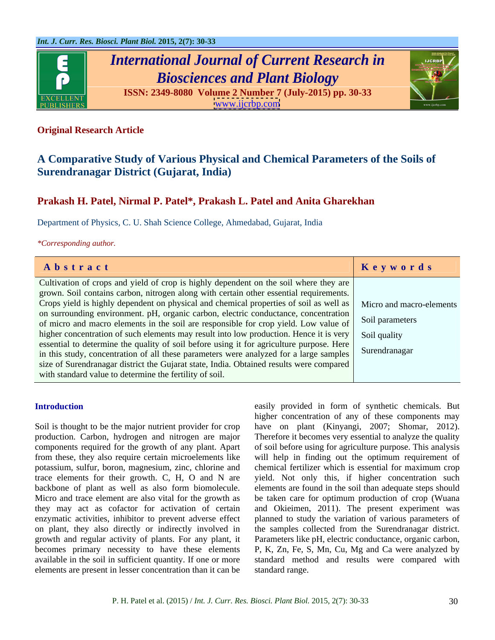

# *International Journal of Current Research in Biosciences and Plant Biology*

**ISSN: 2349-8080 Volume 2 Number 7 (July-2015) pp. 30-33** [www.ijcrbp.com](http://www.ijcrbp.com)



## **Original Research Article**

# **A Comparative Study of Various Physical and Chemical Parameters of the Soils of Surendranagar District (Gujarat, India)**

# **Prakash H. Patel, Nirmal P. Patel\*, Prakash L. Patel and Anita Gharekhan**

Department of Physics, C. U. Shah Science College, Ahmedabad, Gujarat, India

*\*Corresponding author.*

| Abstract                                                                                                                                                                                      | Keywords |
|-----------------------------------------------------------------------------------------------------------------------------------------------------------------------------------------------|----------|
| Cultivation of crops and yield of crop is highly dependent on the soil where they are                                                                                                         |          |
| grown. Soil contains carbon, nitrogen along with certain other essential requirements.                                                                                                        |          |
| Crops yield is highly dependent on physical and chemical properties of soil as well as Micro and macro-elements                                                                               |          |
| on surrounding environment. pH, organic carbon, electric conductance, concentration<br>of micro and macro elements in the soil are responsible for crop yield. Low value of Soil parameters   |          |
|                                                                                                                                                                                               |          |
| higher concentration of such elements may result into low production. Hence it is very Soil quality                                                                                           |          |
|                                                                                                                                                                                               |          |
| essential to determine the quality of soil before using it for agriculture purpose. Here in this study, concentration of all these parameters were analyzed for a large samples Surendranagar |          |
| size of Surendranagar district the Gujarat state, India. Obtained results were compared                                                                                                       |          |
| with standard value to determine the fertility of soil.                                                                                                                                       |          |

potassium, sulfur, boron, magnesium, zinc, chlorine and on plant, they also directly or indirectly involved in available in the soil in sufficient quantity. If one or more elements are present in lesser concentration than it can be

**Introduction** easily provided in form of synthetic chemicals. But Soil is thought to be the major nutrient provider for crop have on plant (Kinyangi, 2007; Shomar, 2012). production. Carbon, hydrogen and nitrogen are major Therefore it becomes very essential to analyze the quality components required for the growth of any plant. Apart of soil before using for agriculture purpose. This analysis from these, they also require certain microelements like will help in finding out the optimum requirement of trace elements for their growth. C, H, O and N are yield. Not only this, if higher concentration such backbone of plant as well as also form biomolecule. elements are found in the soil than adequate steps should Micro and trace element are also vital for the growth as be taken care for optimum production of crop (Wuana they may act as cofactor for activation of certain and Okieimen, 2011). The present experiment was enzymatic activities, inhibitor to prevent adverse effect planned to study the variation of various parameters of growth and regular activity of plants. For any plant, it Parameters like pH, electric conductance, organic carbon, becomes primary necessity to have these elements P, K, Zn, Fe, S, Mn, Cu, Mg and Ca were analyzed by higher concentration of any of these components may chemical fertilizer which is essential for maximum crop the samples collected from the Surendranagar district. standard method and results were compared with standard range.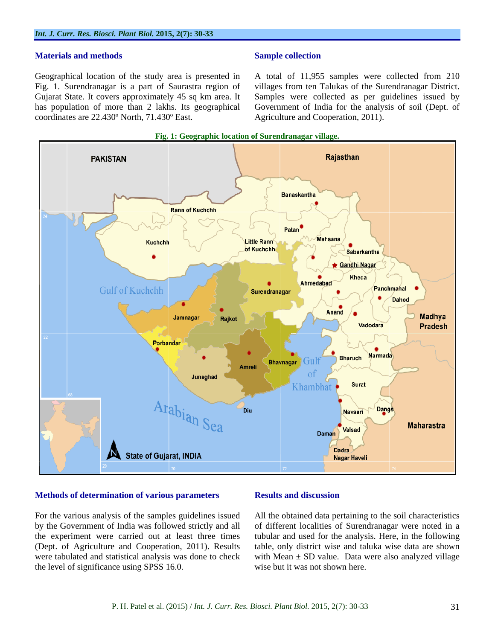### **Materials and methods**

coordinates are 22.430º North, 71.430º East.

### **Sample collection**

Geographical location of the study area is presented in A total of 11,955 samples were collected from 210 Fig. 1. Surendranagar is a part of Saurastra region of villages from ten Talukas of the Surendranagar District. Gujarat State. It covers approximately 45 sq km area. It Samples were collected as per guidelines issued by has population of more than 2 lakhs. Its geographical Government of India for the analysis of soil (Dept. of Agriculture and Cooperation, 2011).



### **Methods of determination of various parameters**

For the various analysis of the samples guidelines issued All the obtained data pertaining to the soil characteristics by the Government of India was followed strictly and all of different localities of Surendranagar were noted in a the experiment were carried out at least three times tubular and used for the analysis. Here, in the following (Dept. of Agriculture and Cooperation, 2011). Results table, only district wise and taluka wise data are shown were tabulated and statistical analysis was done to check with Mean  $\pm$  SD value. Data were also analyzed village the level of significance using SPSS 16.0.

### **Results and discussion**

wise but it was not shown here.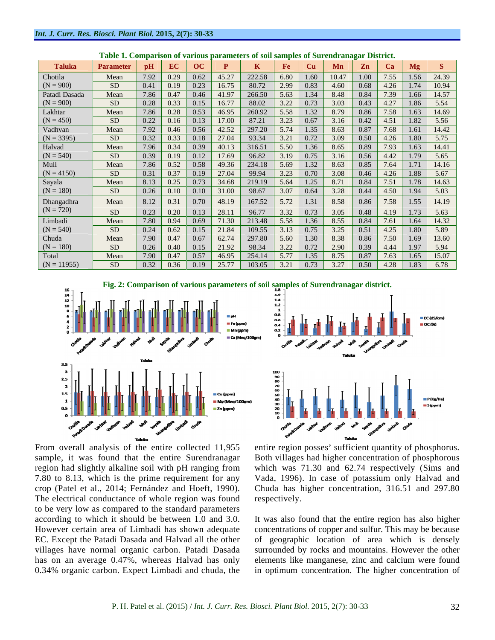| Parameter   pH   EC   OC   P   K   Fe   Cu   Mn   Zn   Ca   Mg   S<br><b>Taluka</b><br>7.92 0.29 0.62 45.27 222.58 6.80 1.60 10.47 1.00 7.55 1.56 24.39<br>Mean<br>  7.86   0.47   0.46   41.97   266.50   5.63   1.34   8.48   0.84   7.39   1.66   14.57<br>Mean<br>0.28 0.33 0.15 16.77 88.02 3.22 0.73 3.03 0.43 4.27 1.86 5.54<br>SD -<br>$\vert$ 7.86 $\vert$ 0.28 $\vert$ 0.53 $\vert$ 46.95 $\vert$ 260.92 $\vert$ 5.58 $\vert$ 1.32 $\vert$ 8.79 $\vert$ 0.86 $\vert$ 7.58 $\vert$ 1.63 $\vert$ 14.69<br>Mean<br>SD.<br>Mean<br>SD.<br>Mean<br>7.86 0.52 0.58 49.36 234.18 5.69 1.32 8.63 0.85 7.64 1.71 14.16<br>Mean<br>  8.13   0.25   0.73   34.68   219.19   5.64   1.25   8.71   0.84   7.51   1.78   14.63<br>Mean<br>8.12 0.31 0.70 48.19 167.52 5.72 1.31 8.58 0.86 7.58 1.55 14.19<br>Mean<br>SD <sub>1</sub><br>  7.80   0.94   0.69   71.30   213.48   5.58   1.36   8.55   0.84   7.61   1.64   14.32<br>Mean<br>0.24 0.62 0.15 21.84 109.55 3.13 0.75 3.25 0.51 4.25 1.80 5.89<br>7.90 0.47 0.67 62.74 297.80 5.60 1.30 8.38 0.86 7.50 1.69 13.60<br>Mean<br>7.90 0.47 0.57 46.95 254.14 5.77 1.35 8.75 0.87 7.63 1.65 15.07<br>Mean<br>$\vert$ 0.32 $\vert$ 0.36 $\vert$ 0.19 $\vert$ 25.77 $\vert$ 103.05 $\vert$ 3.21 $\vert$ 0.73 $\vert$ 3.27 $\vert$ 0.50 $\vert$ 4.28 $\vert$ 1.83 $\vert$ 6.78 |               |      | Table 1. Comparison of various parameters of son samples of Surendranagar District. |  |  |  |  |  |
|-------------------------------------------------------------------------------------------------------------------------------------------------------------------------------------------------------------------------------------------------------------------------------------------------------------------------------------------------------------------------------------------------------------------------------------------------------------------------------------------------------------------------------------------------------------------------------------------------------------------------------------------------------------------------------------------------------------------------------------------------------------------------------------------------------------------------------------------------------------------------------------------------------------------------------------------------------------------------------------------------------------------------------------------------------------------------------------------------------------------------------------------------------------------------------------------------------------------------------------------------------------------------------------------------------------------------------|---------------|------|-------------------------------------------------------------------------------------|--|--|--|--|--|
| Chotila<br>$(N = 900)$<br>Patadi Dasada<br>$(N = 900)$<br>Lakhtar<br>$(N = 450)$<br>Vadhvan<br>$(N = 3395)$<br>Halvad<br>$(N = 540)$<br>Muli<br>$(N = 4150)$<br>Sayala<br>$(N = 180)$<br>Dhangadhra<br>$(N = 720)$<br>Limbadi<br>$(N = 540)$<br>Chuda<br>$(N = 180)$<br>Total                                                                                                                                                                                                                                                                                                                                                                                                                                                                                                                                                                                                                                                                                                                                                                                                                                                                                                                                                                                                                                                 |               |      |                                                                                     |  |  |  |  |  |
|                                                                                                                                                                                                                                                                                                                                                                                                                                                                                                                                                                                                                                                                                                                                                                                                                                                                                                                                                                                                                                                                                                                                                                                                                                                                                                                               |               |      |                                                                                     |  |  |  |  |  |
|                                                                                                                                                                                                                                                                                                                                                                                                                                                                                                                                                                                                                                                                                                                                                                                                                                                                                                                                                                                                                                                                                                                                                                                                                                                                                                                               |               |      |                                                                                     |  |  |  |  |  |
|                                                                                                                                                                                                                                                                                                                                                                                                                                                                                                                                                                                                                                                                                                                                                                                                                                                                                                                                                                                                                                                                                                                                                                                                                                                                                                                               |               |      |                                                                                     |  |  |  |  |  |
|                                                                                                                                                                                                                                                                                                                                                                                                                                                                                                                                                                                                                                                                                                                                                                                                                                                                                                                                                                                                                                                                                                                                                                                                                                                                                                                               |               |      |                                                                                     |  |  |  |  |  |
|                                                                                                                                                                                                                                                                                                                                                                                                                                                                                                                                                                                                                                                                                                                                                                                                                                                                                                                                                                                                                                                                                                                                                                                                                                                                                                                               |               |      |                                                                                     |  |  |  |  |  |
|                                                                                                                                                                                                                                                                                                                                                                                                                                                                                                                                                                                                                                                                                                                                                                                                                                                                                                                                                                                                                                                                                                                                                                                                                                                                                                                               |               |      |                                                                                     |  |  |  |  |  |
|                                                                                                                                                                                                                                                                                                                                                                                                                                                                                                                                                                                                                                                                                                                                                                                                                                                                                                                                                                                                                                                                                                                                                                                                                                                                                                                               |               |      |                                                                                     |  |  |  |  |  |
|                                                                                                                                                                                                                                                                                                                                                                                                                                                                                                                                                                                                                                                                                                                                                                                                                                                                                                                                                                                                                                                                                                                                                                                                                                                                                                                               |               |      |                                                                                     |  |  |  |  |  |
|                                                                                                                                                                                                                                                                                                                                                                                                                                                                                                                                                                                                                                                                                                                                                                                                                                                                                                                                                                                                                                                                                                                                                                                                                                                                                                                               |               |      |                                                                                     |  |  |  |  |  |
|                                                                                                                                                                                                                                                                                                                                                                                                                                                                                                                                                                                                                                                                                                                                                                                                                                                                                                                                                                                                                                                                                                                                                                                                                                                                                                                               |               |      |                                                                                     |  |  |  |  |  |
|                                                                                                                                                                                                                                                                                                                                                                                                                                                                                                                                                                                                                                                                                                                                                                                                                                                                                                                                                                                                                                                                                                                                                                                                                                                                                                                               |               |      |                                                                                     |  |  |  |  |  |
|                                                                                                                                                                                                                                                                                                                                                                                                                                                                                                                                                                                                                                                                                                                                                                                                                                                                                                                                                                                                                                                                                                                                                                                                                                                                                                                               |               |      |                                                                                     |  |  |  |  |  |
|                                                                                                                                                                                                                                                                                                                                                                                                                                                                                                                                                                                                                                                                                                                                                                                                                                                                                                                                                                                                                                                                                                                                                                                                                                                                                                                               |               |      |                                                                                     |  |  |  |  |  |
|                                                                                                                                                                                                                                                                                                                                                                                                                                                                                                                                                                                                                                                                                                                                                                                                                                                                                                                                                                                                                                                                                                                                                                                                                                                                                                                               |               |      |                                                                                     |  |  |  |  |  |
|                                                                                                                                                                                                                                                                                                                                                                                                                                                                                                                                                                                                                                                                                                                                                                                                                                                                                                                                                                                                                                                                                                                                                                                                                                                                                                                               |               |      |                                                                                     |  |  |  |  |  |
|                                                                                                                                                                                                                                                                                                                                                                                                                                                                                                                                                                                                                                                                                                                                                                                                                                                                                                                                                                                                                                                                                                                                                                                                                                                                                                                               |               |      |                                                                                     |  |  |  |  |  |
|                                                                                                                                                                                                                                                                                                                                                                                                                                                                                                                                                                                                                                                                                                                                                                                                                                                                                                                                                                                                                                                                                                                                                                                                                                                                                                                               |               |      |                                                                                     |  |  |  |  |  |
|                                                                                                                                                                                                                                                                                                                                                                                                                                                                                                                                                                                                                                                                                                                                                                                                                                                                                                                                                                                                                                                                                                                                                                                                                                                                                                                               |               |      |                                                                                     |  |  |  |  |  |
|                                                                                                                                                                                                                                                                                                                                                                                                                                                                                                                                                                                                                                                                                                                                                                                                                                                                                                                                                                                                                                                                                                                                                                                                                                                                                                                               |               |      |                                                                                     |  |  |  |  |  |
|                                                                                                                                                                                                                                                                                                                                                                                                                                                                                                                                                                                                                                                                                                                                                                                                                                                                                                                                                                                                                                                                                                                                                                                                                                                                                                                               |               |      |                                                                                     |  |  |  |  |  |
|                                                                                                                                                                                                                                                                                                                                                                                                                                                                                                                                                                                                                                                                                                                                                                                                                                                                                                                                                                                                                                                                                                                                                                                                                                                                                                                               |               |      |                                                                                     |  |  |  |  |  |
|                                                                                                                                                                                                                                                                                                                                                                                                                                                                                                                                                                                                                                                                                                                                                                                                                                                                                                                                                                                                                                                                                                                                                                                                                                                                                                                               |               |      |                                                                                     |  |  |  |  |  |
|                                                                                                                                                                                                                                                                                                                                                                                                                                                                                                                                                                                                                                                                                                                                                                                                                                                                                                                                                                                                                                                                                                                                                                                                                                                                                                                               |               |      |                                                                                     |  |  |  |  |  |
|                                                                                                                                                                                                                                                                                                                                                                                                                                                                                                                                                                                                                                                                                                                                                                                                                                                                                                                                                                                                                                                                                                                                                                                                                                                                                                                               | $(N = 11955)$ | - SD |                                                                                     |  |  |  |  |  |

**Table 1. Comparison of various parameters of soil samples of Surendranagar District.**







From overall analysis of the entire collected 11,955 sample, it was found that the entire Surendranagar Both villages had higher concentration of phosphorous region had slightly alkaline soil with pH ranging from which was 71.30 and 62.74 respectively (Sims and 7.80 to 8.13, which is the prime requirement for any Vada, 1996). In case of potassium only Halvad and crop (Patel et al., 2014; Fernández and Hoeft, 1990). Chuda has higher concentration, 316.51 and 297.80 The electrical conductance of whole region was found respectively. to be very low as compared to the standard parameters according to which it should be between 1.0 and 3.0. It was also found that the entire region has also higher However certain area of Limbadi has shown adequate concentrations of copper and sulfur. This may be because EC. Except the Patadi Dasada and Halvad all the other of geographic location of area which is densely villages have normal organic carbon. Patadi Dasada surrounded by rocks and mountains. However the other has on an average 0.47%, whereas Halvad has only elements like manganese, zinc and calcium were found

entire region posses' sufficient quantity of phosphorus. respectively.

0.34% organic carbon. Expect Limbadi and chuda, the in optimum concentration. The higher concentration of